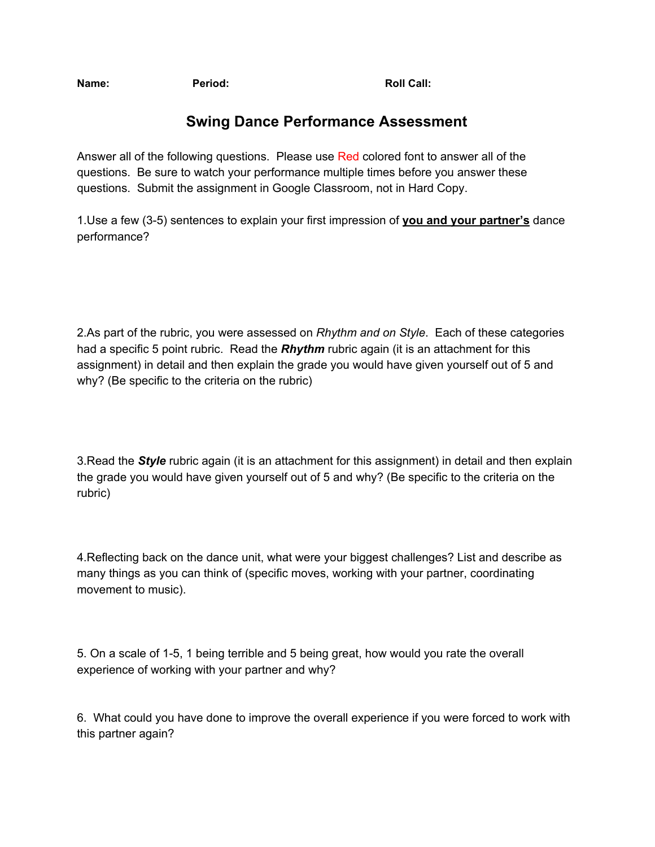**Name: Period: Period: Roll Call: Roll Call:** 

## **Swing Dance Performance Assessment**

Answer all of the following questions. Please use Red colored font to answer all of the questions. Be sure to watch your performance multiple times before you answer these questions. Submit the assignment in Google Classroom, not in Hard Copy.

1.Use a few (3-5) sentences to explain your first impression of **you and your partner's** dance performance?

2.As part of the rubric, you were assessed on *Rhythm and on Style*. Each of these categories had a specific 5 point rubric. Read the **Rhythm** rubric again (it is an attachment for this assignment) in detail and then explain the grade you would have given yourself out of 5 and why? (Be specific to the criteria on the rubric)

3.Read the *Style* rubric again (it is an attachment for this assignment) in detail and then explain the grade you would have given yourself out of 5 and why? (Be specific to the criteria on the rubric)

4.Reflecting back on the dance unit, what were your biggest challenges? List and describe as many things as you can think of (specific moves, working with your partner, coordinating movement to music).

5. On a scale of 1-5, 1 being terrible and 5 being great, how would you rate the overall experience of working with your partner and why?

6. What could you have done to improve the overall experience if you were forced to work with this partner again?